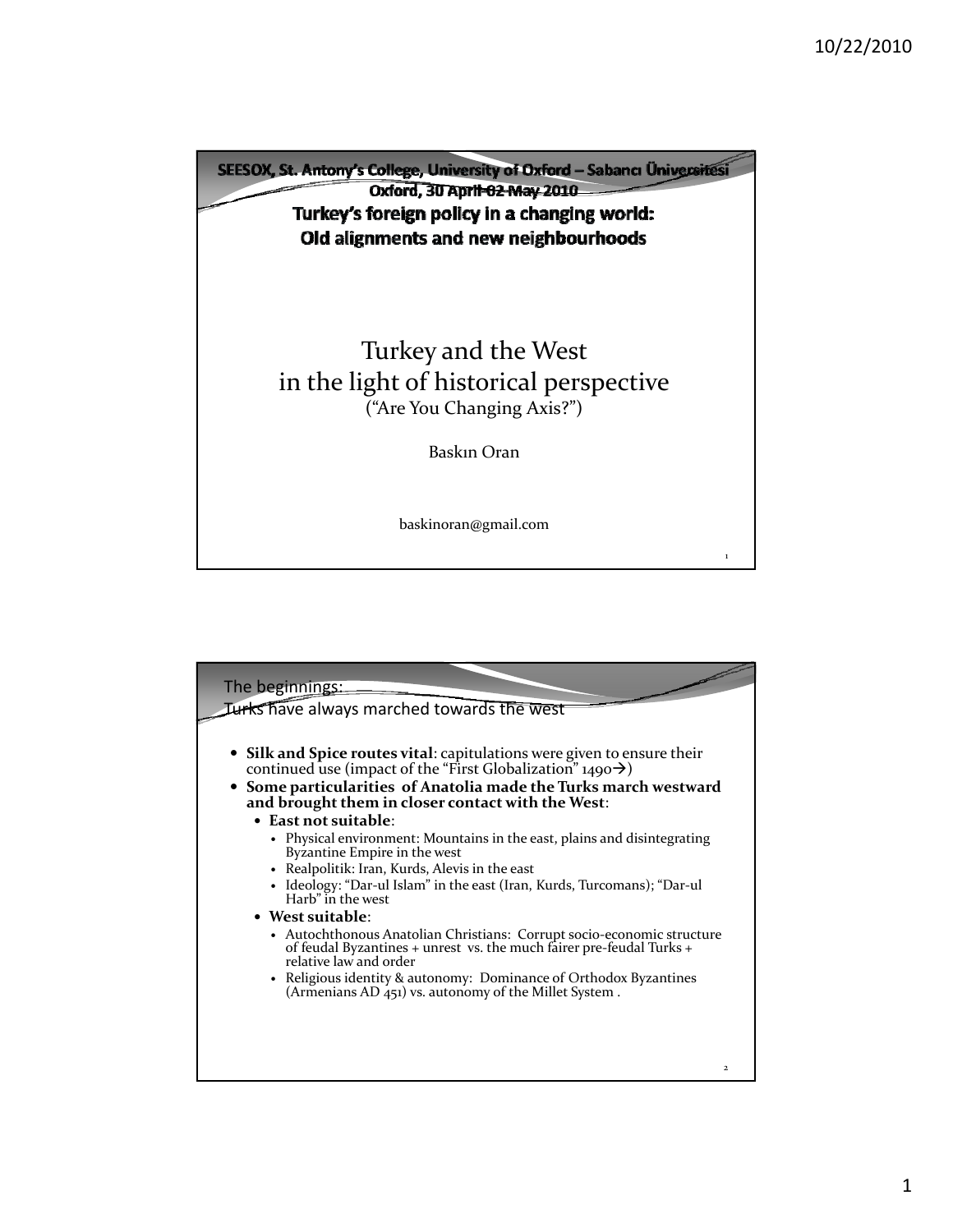

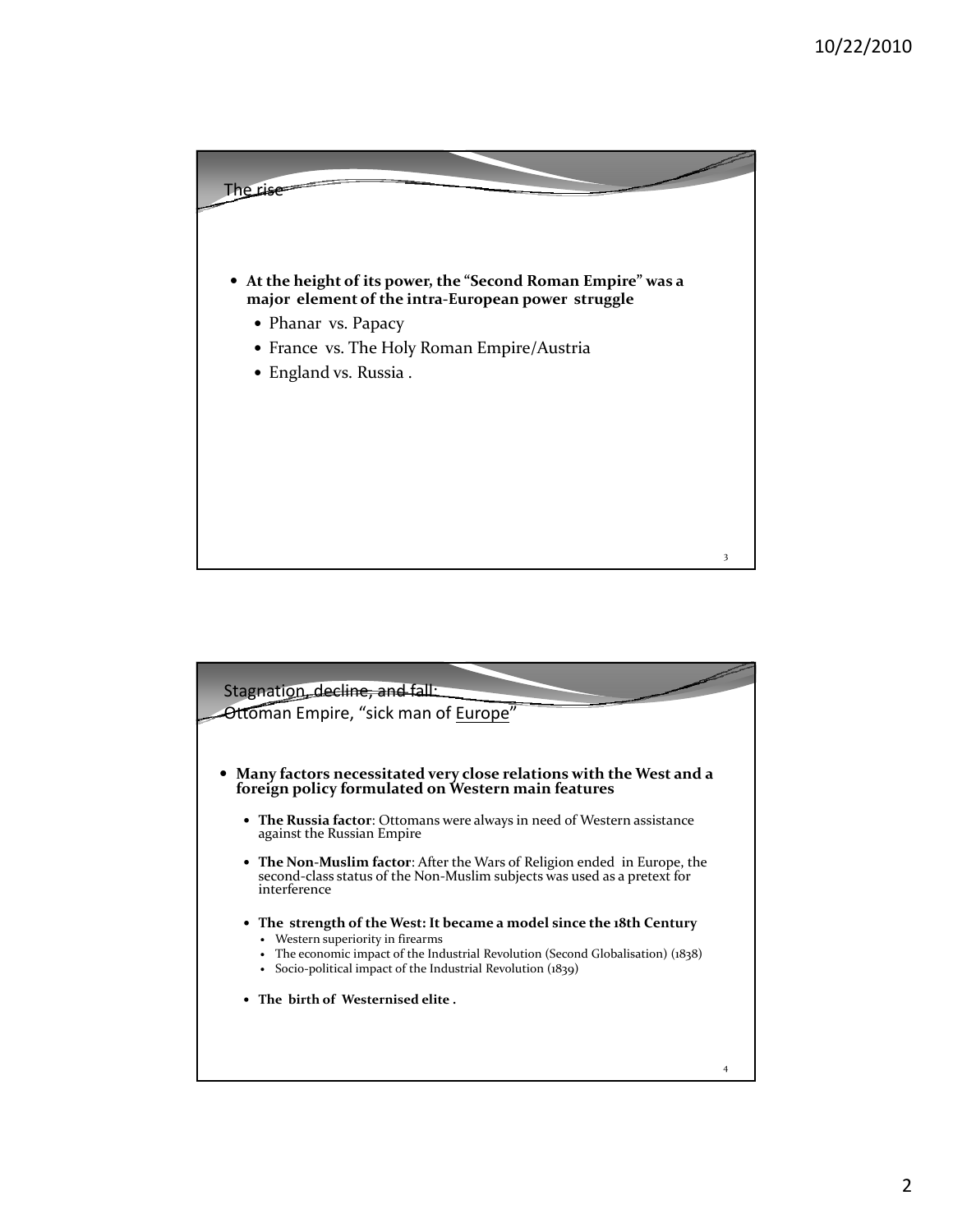

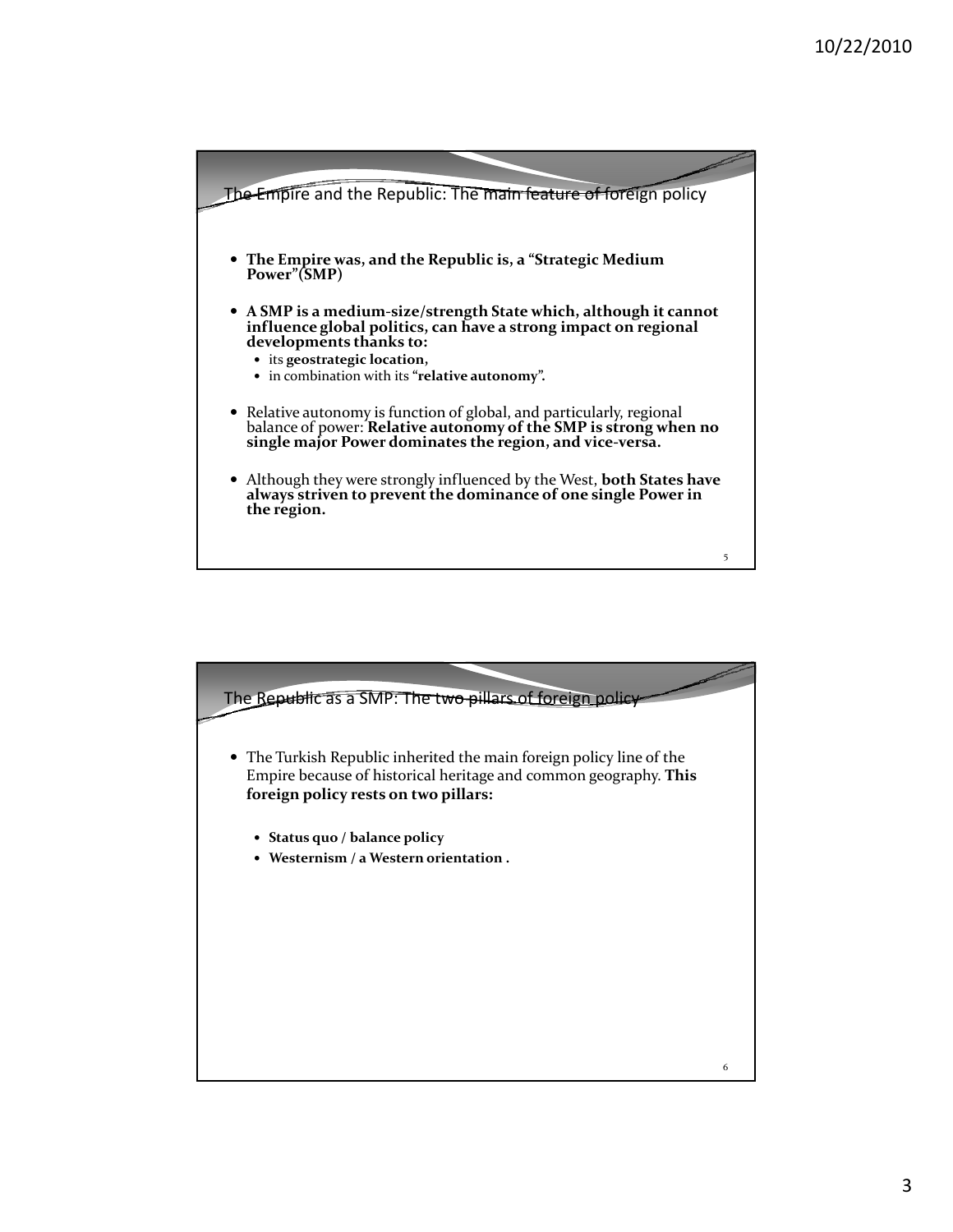

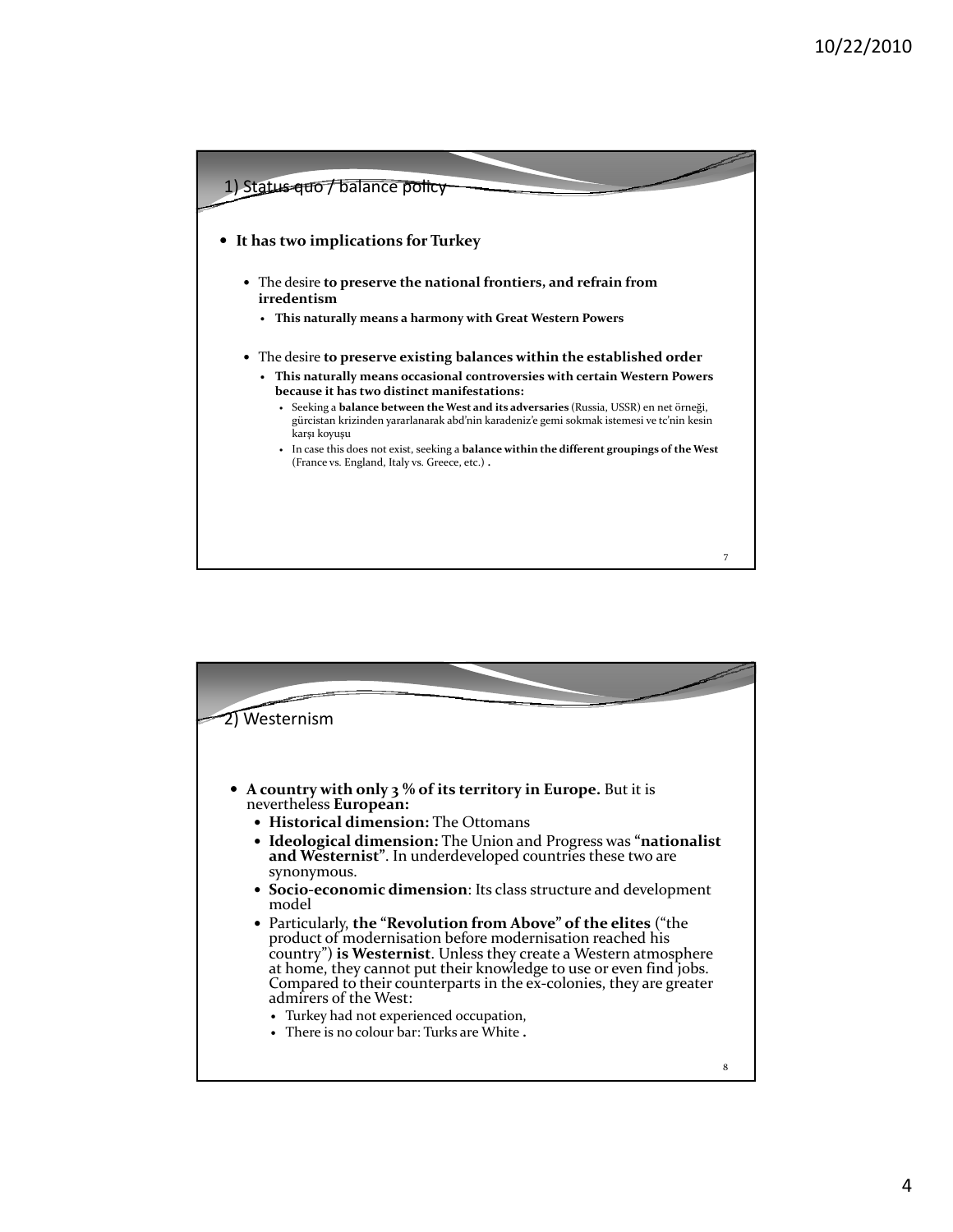

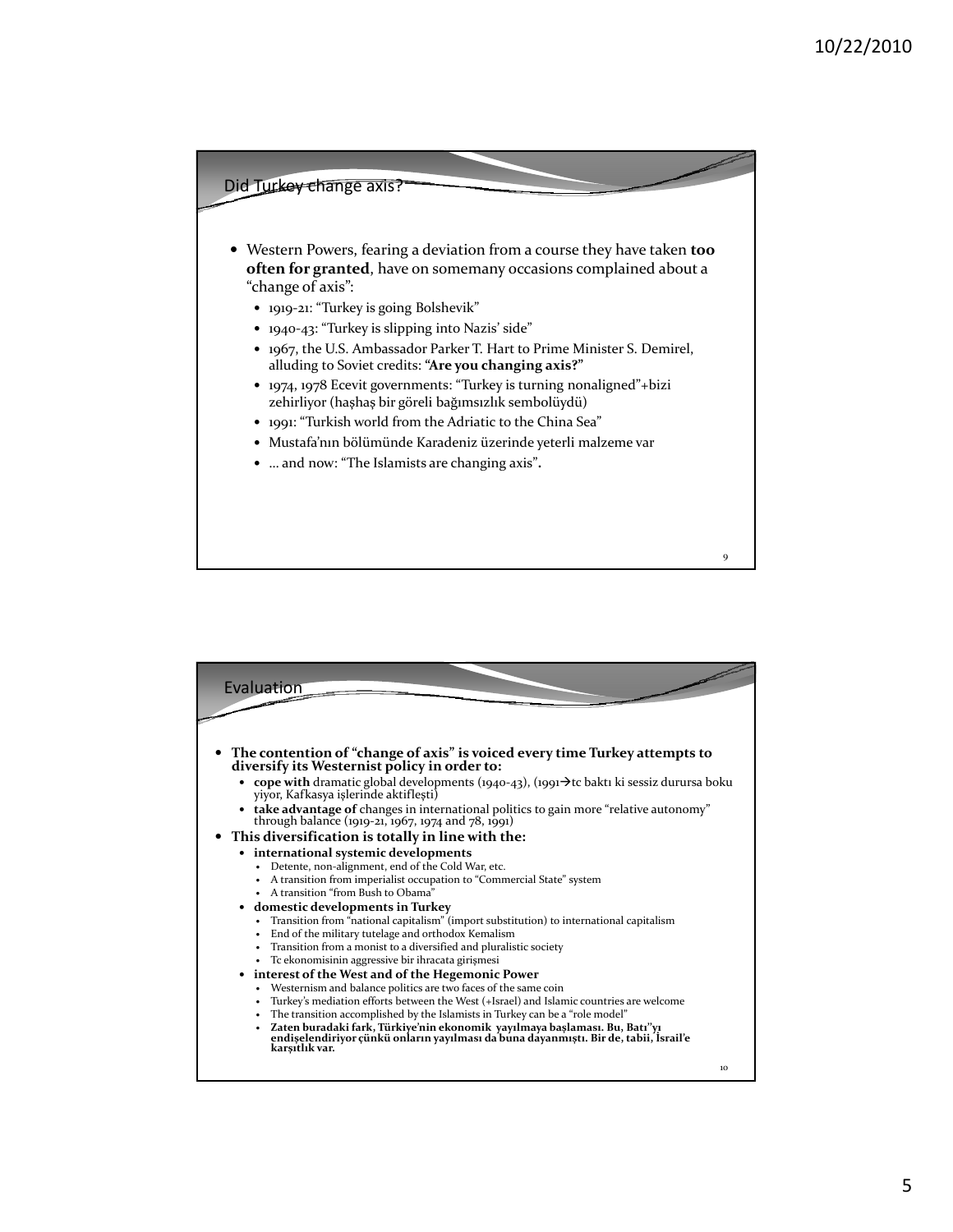